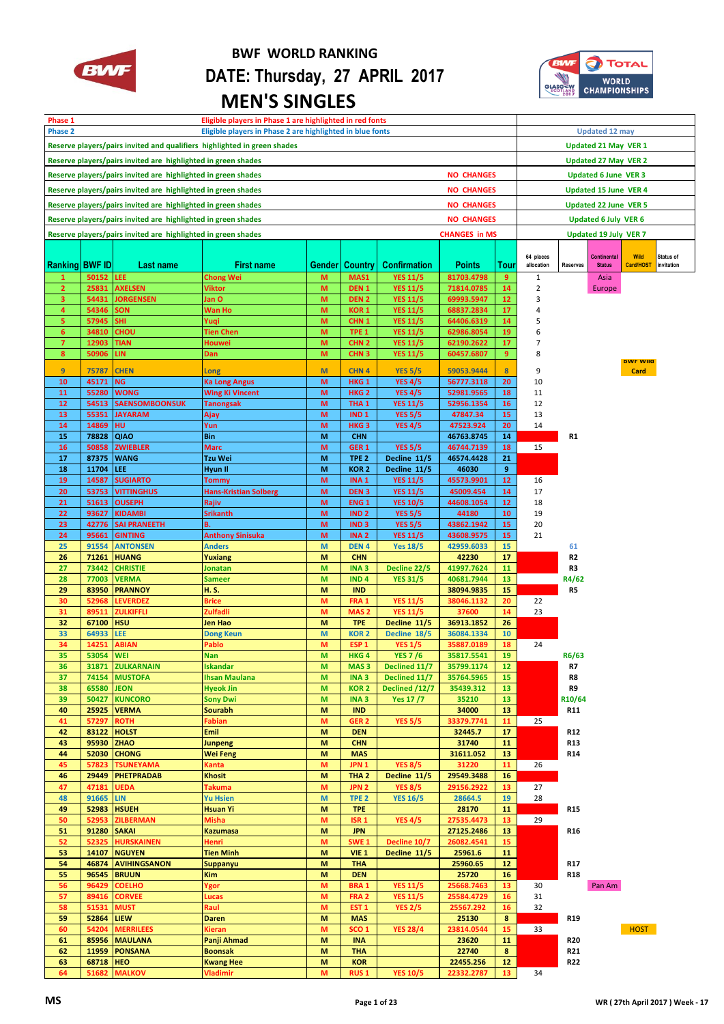

## **BWF WORLD RANKING DATE: Thursday, 27 APRIL 2017 MEN'S SINGLES**



| Eligible players in Phase 1 are highlighted in red fonts<br>Phase 1                |                                                                                       |                                   |                              |        |                                  |                     |               |                 |                             |                 |                              |                 |            |
|------------------------------------------------------------------------------------|---------------------------------------------------------------------------------------|-----------------------------------|------------------------------|--------|----------------------------------|---------------------|---------------|-----------------|-----------------------------|-----------------|------------------------------|-----------------|------------|
| <b>Phase 2</b><br>Eligible players in Phase 2 are highlighted in blue fonts        |                                                                                       |                                   |                              |        |                                  |                     |               |                 |                             |                 | <b>Updated 12 may</b>        |                 |            |
|                                                                                    |                                                                                       |                                   |                              |        |                                  |                     |               |                 | <b>Updated 21 May VER 1</b> |                 |                              |                 |            |
| Reserve players/pairs invited and qualifiers highlighted in green shades           |                                                                                       |                                   |                              |        |                                  |                     |               |                 |                             |                 |                              |                 |            |
| Reserve players/pairs invited are highlighted in green shades                      |                                                                                       |                                   |                              |        |                                  |                     |               |                 |                             |                 | <b>Updated 27 May VER 2</b>  |                 |            |
| Reserve players/pairs invited are highlighted in green shades<br><b>NO CHANGES</b> |                                                                                       |                                   |                              |        |                                  |                     |               |                 |                             |                 | <b>Updated 6 June VER 3</b>  |                 |            |
|                                                                                    |                                                                                       |                                   |                              |        |                                  |                     |               |                 |                             |                 |                              |                 |            |
| Reserve players/pairs invited are highlighted in green shades<br><b>NO CHANGES</b> |                                                                                       |                                   |                              |        |                                  |                     |               |                 |                             |                 | <b>Updated 15 June VER 4</b> |                 |            |
| Reserve players/pairs invited are highlighted in green shades<br><b>NO CHANGES</b> |                                                                                       |                                   |                              |        |                                  |                     |               |                 |                             |                 | <b>Updated 22 June VER 5</b> |                 |            |
| Reserve players/pairs invited are highlighted in green shades<br><b>NO CHANGES</b> |                                                                                       |                                   |                              |        |                                  |                     |               |                 |                             |                 | <b>Updated 6 July VER 6</b>  |                 |            |
|                                                                                    |                                                                                       |                                   |                              |        |                                  |                     |               |                 |                             |                 | Updated 19 July VER 7        |                 |            |
|                                                                                    | Reserve players/pairs invited are highlighted in green shades<br><b>CHANGES in MS</b> |                                   |                              |        |                                  |                     |               |                 |                             |                 |                              |                 |            |
|                                                                                    |                                                                                       |                                   |                              |        |                                  |                     |               |                 | 64 places                   |                 | <b>Continental</b>           | <b>Wild</b>     | Status of  |
| Ranking BWF ID                                                                     |                                                                                       | Last name                         | <b>First name</b>            | Gender | <b>Country</b>                   | <b>Confirmation</b> | <b>Points</b> | Tour            | allocation                  | <b>Reserves</b> | <b>Status</b>                | Card/HOST       | invitation |
| $\mathbf{1}$                                                                       | 50152                                                                                 | <b>LEE</b>                        | <b>Chong Wei</b>             | M      | MAS1                             | <b>YES 11/5</b>     | 81703.4798    | 9               | 1                           |                 | Asia                         |                 |            |
| $\overline{2}$                                                                     | 25831                                                                                 | <b>AXELSEN</b>                    | Viktor                       | M      | DEN <sub>1</sub>                 | <b>YES 11/5</b>     | 71814.0785    | 14              | 2                           |                 | Europe                       |                 |            |
| 3                                                                                  | 54431                                                                                 | <b>JORGENSEN</b>                  | lan O                        | M      | DEN <sub>2</sub>                 | <b>YES 11/5</b>     | 69993.5947    | 12              | 3                           |                 |                              |                 |            |
| $\overline{4}$                                                                     | 54346                                                                                 | SON                               | Wan Ho                       | M      | KOR <sub>1</sub>                 | <b>YES 11/5</b>     | 68837.2834    | 17              | 4                           |                 |                              |                 |            |
| 5                                                                                  | 57945                                                                                 | <b>SHI</b>                        | Yuqi                         | M      | CHN <sub>1</sub>                 | <b>YES 11/5</b>     | 64406.6319    | 14              | 5                           |                 |                              |                 |            |
| 6                                                                                  | 34810                                                                                 | CHOU                              | <b>Tien Chen</b>             | M      | TPE <sub>1</sub>                 | <b>YES 11/5</b>     | 62986.8054    | 19              | 6                           |                 |                              |                 |            |
| $\overline{7}$                                                                     | 12903                                                                                 | <b>TIAN</b>                       | Houwei                       | M      | CHN <sub>2</sub>                 | <b>YES 11/5</b>     | 62190.2622    | 17              | 7                           |                 |                              |                 |            |
| 8                                                                                  | 50906                                                                                 | LIN.                              | Dan                          | M      | CHN <sub>3</sub>                 | <b>YES 11/5</b>     | 60457.6807    | 9               | 8                           |                 |                              |                 |            |
|                                                                                    |                                                                                       |                                   |                              |        |                                  |                     |               |                 |                             |                 |                              | <b>BWF Wild</b> |            |
| 9                                                                                  | 75787                                                                                 | <b>CHEN</b>                       | Long                         | M      | CHN <sub>4</sub>                 | <b>YES 5/5</b>      | 59053.9444    | 8 <sup>2</sup>  | 9                           |                 |                              | Card            |            |
| 10                                                                                 | 45171                                                                                 | <b>NG</b>                         | Ka Long Angus                | M      | HKG <sub>1</sub>                 | <b>YES 4/5</b>      | 56777.3118    | 20              | 10                          |                 |                              |                 |            |
| 11                                                                                 | 55280                                                                                 | <b>WONG</b>                       | Wing Ki Vincent              | M      | HKG <sub>2</sub>                 | <b>YES 4/5</b>      | 52981.9565    | 18              | 11                          |                 |                              |                 |            |
| 12                                                                                 |                                                                                       | 54513 SAENSOMBOONSUK              | Tanongsak                    | M      | THA <sub>1</sub>                 | <b>YES 11/5</b>     | 52956.1354    | 16              | 12                          |                 |                              |                 |            |
| 13                                                                                 |                                                                                       | 55351 JAYARAM                     | Ajay                         | M      | IND <sub>1</sub>                 | <b>YES 5/5</b>      | 47847.34      | 15              | 13                          |                 |                              |                 |            |
| 14                                                                                 | 14869                                                                                 | HU                                | Yun                          | M      | HKG <sub>3</sub>                 | <b>YES 4/5</b>      | 47523.924     | 20              | 14                          |                 |                              |                 |            |
| 15                                                                                 | 78828                                                                                 | <b>QIAO</b>                       | Bin                          | M      | <b>CHN</b>                       |                     | 46763.8745    | 14              |                             | R1              |                              |                 |            |
| 16                                                                                 |                                                                                       | 50858 ZWIEBLER                    | Marc                         | M      | GER <sub>1</sub>                 | <b>YES 5/5</b>      | 46744.7139    | 18              | 15                          |                 |                              |                 |            |
| 17                                                                                 | 87375                                                                                 | <b>WANG</b>                       | Tzu Wei                      | M      | TPE <sub>2</sub>                 | Decline 11/5        | 46574.4428    | 21              |                             |                 |                              |                 |            |
| 18                                                                                 | 11704                                                                                 | LEE.                              | Hyun II                      | M      | KOR <sub>2</sub>                 | Decline 11/5        | 46030         | 9               |                             |                 |                              |                 |            |
| 19                                                                                 | 14587                                                                                 | <b>SUGIARTO</b>                   | Tommy                        | M      | INA <sub>1</sub>                 | <b>YES 11/5</b>     | 45573.9901    | 12              | 16                          |                 |                              |                 |            |
| 20                                                                                 |                                                                                       | 53753 VITTINGHUS                  | <b>Hans-Kristian Solberg</b> | M      | DEN <sub>3</sub>                 | <b>YES 11/5</b>     | 45009.454     | 14              | 17                          |                 |                              |                 |            |
| 21                                                                                 |                                                                                       | 51613 OUSEPH                      | Rajiv                        | M      | ENG <sub>1</sub>                 | <b>YES 10/5</b>     | 44608.1054    | 12              | 18                          |                 |                              |                 |            |
| 22                                                                                 | 93627                                                                                 | <b>KIDAMBI</b>                    | Srikanth                     | M      | IND <sub>2</sub>                 | <b>YES 5/5</b>      | 44180         | 10              | 19                          |                 |                              |                 |            |
| 23                                                                                 |                                                                                       | 42776 SAI PRANEETH                | B.                           | M      | IND <sub>3</sub>                 | <b>YES 5/5</b>      | 43862.1942    | 15              | 20                          |                 |                              |                 |            |
| 24                                                                                 |                                                                                       | 95661 GINTING                     | <b>Anthony Sinisuka</b>      | M      | INA <sub>2</sub>                 | <b>YES 11/5</b>     | 43608.9575    | 15              | 21                          |                 |                              |                 |            |
| 25                                                                                 | 91554                                                                                 | <b>ANTONSEN</b>                   | Anders                       | M      | DEN <sub>4</sub>                 | <b>Yes 18/5</b>     | 42959.6033    | 15              |                             | 61              |                              |                 |            |
| 26                                                                                 | 71261                                                                                 | <b>HUANG</b>                      | Yuxiang                      | M      | <b>CHN</b>                       |                     | 42230         | 17              |                             | R2              |                              |                 |            |
| 27                                                                                 | 73442                                                                                 | <b>CHRISTIE</b>                   | Jonatan                      | M      | INA <sub>3</sub>                 | Decline 22/5        | 41997.7624    | 11              |                             | R3              |                              |                 |            |
| 28                                                                                 | 77003                                                                                 | <b>VERMA</b>                      | Sameer                       | M      | IND <sub>4</sub>                 | <b>YES 31/5</b>     | 40681.7944    | 13              |                             | R4/62           |                              |                 |            |
| 29                                                                                 | 83950                                                                                 | <b>PRANNOY</b>                    | H. S.                        | M      | <b>IND</b>                       |                     | 38094.9835    | 15              |                             | R5              |                              |                 |            |
| 30                                                                                 | 52968                                                                                 | <b>LEVERDEZ</b>                   | Brice                        | M      | FRA 1                            | <b>YES 11/5</b>     | 38046.1132    | 20              | 22                          |                 |                              |                 |            |
| 31                                                                                 | 89511                                                                                 | <b>ZULKIFFLI</b>                  | Zulfadli                     | M      | MAS <sub>2</sub>                 | <b>YES 11/5</b>     | 37600         | 14              | 23                          |                 |                              |                 |            |
| 32                                                                                 | 67100 HSU                                                                             |                                   | Jen Hao                      | M      | <b>TPE</b>                       | Decline 11/5        | 36913.1852    | 26              |                             |                 |                              |                 |            |
| 33                                                                                 | 64933                                                                                 | <b>LEE</b>                        | <b>Dong Keun</b>             | M      | <b>KOR2</b>                      | Decline 18/5        | 36084.1334    | 10              |                             |                 |                              |                 |            |
| 34                                                                                 | 14251                                                                                 | <b>ABIAN</b>                      | Pablo                        | M      | ESP <sub>1</sub>                 | <b>YES 1/5</b>      | 35887.0189    | 18              | 24                          |                 |                              |                 |            |
| 35                                                                                 | 53054 WEI                                                                             |                                   | <b>Nan</b>                   | M      | <b>HKG4</b>                      | <b>YES 7/6</b>      | 35817.5541    | 19              |                             | R6/63           |                              |                 |            |
| 36                                                                                 | 31871                                                                                 | <b>ZULKARNAIN</b>                 | <b>Iskandar</b>              | M      | MAS <sub>3</sub>                 | Declined 11/7       | 35799.1174    | 12              |                             | R7              |                              |                 |            |
| 37                                                                                 | 74154                                                                                 | <b>MUSTOFA</b>                    | Ihsan Maulana                | M      | INA <sub>3</sub>                 | Declined 11/7       | 35764.5965    | 15              |                             | R8              |                              |                 |            |
| 38                                                                                 | 65580                                                                                 | <b>JEON</b>                       | <b>Hyeok Jin</b>             | M      | KOR <sub>2</sub>                 | Declined /12/7      | 35439.312     | 13              |                             | R9              |                              |                 |            |
| 39                                                                                 | 50427                                                                                 | <b>KUNCORO</b>                    | <b>Sony Dwi</b>              | M      | INA <sub>3</sub>                 | <b>Yes 17/7</b>     | 35210         | 13              |                             | R10/64          |                              |                 |            |
| 40                                                                                 | 25925                                                                                 | <b>VERMA</b>                      | <b>Sourabh</b>               | M      | <b>IND</b>                       |                     | 34000         | 13              |                             | R11             |                              |                 |            |
| 41                                                                                 | 57297                                                                                 | <b>ROTH</b>                       | <b>Fabian</b>                | M      | GER <sub>2</sub>                 | <b>YES 5/5</b>      | 33379.7741    | 11              | 25                          |                 |                              |                 |            |
| 42                                                                                 | 83122                                                                                 | <b>HOLST</b>                      | Emil                         | M      | <b>DEN</b>                       |                     | 32445.7       | 17              |                             | R12             |                              |                 |            |
| 43                                                                                 | 95930                                                                                 | <b>ZHAO</b>                       | <b>Junpeng</b>               | M      | <b>CHN</b>                       |                     | 31740         | 11              |                             | R13             |                              |                 |            |
| 44                                                                                 | 52030                                                                                 | <b>CHONG</b>                      | <b>Wei Feng</b>              | M      | <b>MAS</b>                       |                     | 31611.052     | 13              |                             | R14             |                              |                 |            |
| 45                                                                                 | 57823                                                                                 | <b>TSUNEYAMA</b>                  | Kanta                        | M      | JPN <sub>1</sub>                 | <b>YES 8/5</b>      | 31220         | 11              | 26                          |                 |                              |                 |            |
| 46                                                                                 | 29449                                                                                 | <b>PHETPRADAB</b>                 | <b>Khosit</b>                | M      | THA <sub>2</sub>                 | Decline 11/5        | 29549.3488    | 16              |                             |                 |                              |                 |            |
| 47                                                                                 | 47181                                                                                 | <b>UEDA</b>                       | Takuma                       | M      | JPN <sub>2</sub>                 | <b>YES 8/5</b>      | 29156.2922    | 13              | 27                          |                 |                              |                 |            |
| 48                                                                                 | 91665                                                                                 | <b>LIN</b>                        | <b>Yu Hsien</b>              | M      | TPE <sub>2</sub>                 | <b>YES 16/5</b>     | 28664.5       | 19              | 28                          |                 |                              |                 |            |
| 49                                                                                 | 52983                                                                                 | <b>HSUEH</b>                      | <b>Hsuan Yi</b>              | M      | <b>TPE</b>                       |                     | 28170         | 11              |                             | R15             |                              |                 |            |
| 50                                                                                 | 52953                                                                                 | <b>ZILBERMAN</b>                  | Misha                        | M      | ISR <sub>1</sub>                 | <b>YES 4/5</b>      | 27535.4473    | 13              | 29                          |                 |                              |                 |            |
| 51                                                                                 | 91280                                                                                 |                                   |                              |        | <b>JPN</b>                       |                     | 27125.2486    |                 |                             |                 |                              |                 |            |
|                                                                                    | 52325                                                                                 | <b>SAKAI</b><br><b>HURSKAINEN</b> | <b>Kazumasa</b>              | M<br>M |                                  | Decline 10/7        | 26082.4541    | 13              |                             | R16             |                              |                 |            |
| 52<br>53                                                                           | 14107                                                                                 | <b>NGUYEN</b>                     | Henri                        |        | SWE <sub>1</sub><br><b>VIE 1</b> | Decline 11/5        |               | 15<br>11        |                             |                 |                              |                 |            |
|                                                                                    | 46874                                                                                 | <b>AVIHINGSANON</b>               | <b>Tien Minh</b>             | M      |                                  |                     | 25961.6       |                 |                             |                 |                              |                 |            |
| 54                                                                                 | 96545                                                                                 |                                   | <b>Suppanyu</b>              | M      | <b>THA</b><br><b>DEN</b>         |                     | 25960.65      | 12 <sub>2</sub> |                             | R17             |                              |                 |            |
| 55                                                                                 |                                                                                       | <b>BRUUN</b>                      | <b>Kim</b>                   | M      |                                  |                     | 25720         | 16              |                             | <b>R18</b>      |                              |                 |            |
| 56                                                                                 | 96429                                                                                 | <b>COELHO</b>                     | Ygor                         | M      | <b>BRA1</b>                      | <b>YES 11/5</b>     | 25668.7463    | 13              | 30                          |                 | Pan Am                       |                 |            |
| 57                                                                                 | 89416                                                                                 | <b>CORVEE</b>                     | Lucas                        | M      | FRA <sub>2</sub>                 | <b>YES 11/5</b>     | 25584.4729    | 16              | 31                          |                 |                              |                 |            |
| 58                                                                                 | 51531                                                                                 | <b>MUST</b>                       | Raul                         | M      | EST <sub>1</sub>                 | <b>YES 2/5</b>      | 25567.292     | 16              | 32                          |                 |                              |                 |            |
| 59                                                                                 | 52864                                                                                 | <b>LIEW</b>                       | <b>Daren</b>                 | M      | <b>MAS</b>                       |                     | 25130         | 8               |                             | R19             |                              |                 |            |
| 60                                                                                 | 54204                                                                                 | <b>MERRILEES</b>                  | Kieran                       | M      | SCO <sub>1</sub>                 | <b>YES 28/4</b>     | 23814.0544    | 15              | 33                          |                 |                              | <b>HOST</b>     |            |
| 61                                                                                 | 85956                                                                                 | <b>MAULANA</b>                    | Panji Ahmad                  | M      | <b>INA</b>                       |                     | 23620         | 11              |                             | <b>R20</b>      |                              |                 |            |
| 62                                                                                 | 11959                                                                                 | <b>PONSANA</b>                    | <b>Boonsak</b>               | M      | <b>THA</b>                       |                     | 22740         | 8               |                             | R21             |                              |                 |            |
| 63                                                                                 | 68718                                                                                 | <b>HEO</b>                        | <b>Kwang Hee</b>             | M      | <b>KOR</b>                       |                     | 22455.256     | 12              |                             | R <sub>22</sub> |                              |                 |            |
| 64                                                                                 | 51682                                                                                 | <b>MALKOV</b>                     | Vladimir                     | M      | <b>RUS1</b>                      | <b>YES 10/5</b>     | 22332.2787    | 13              | 34                          |                 |                              |                 |            |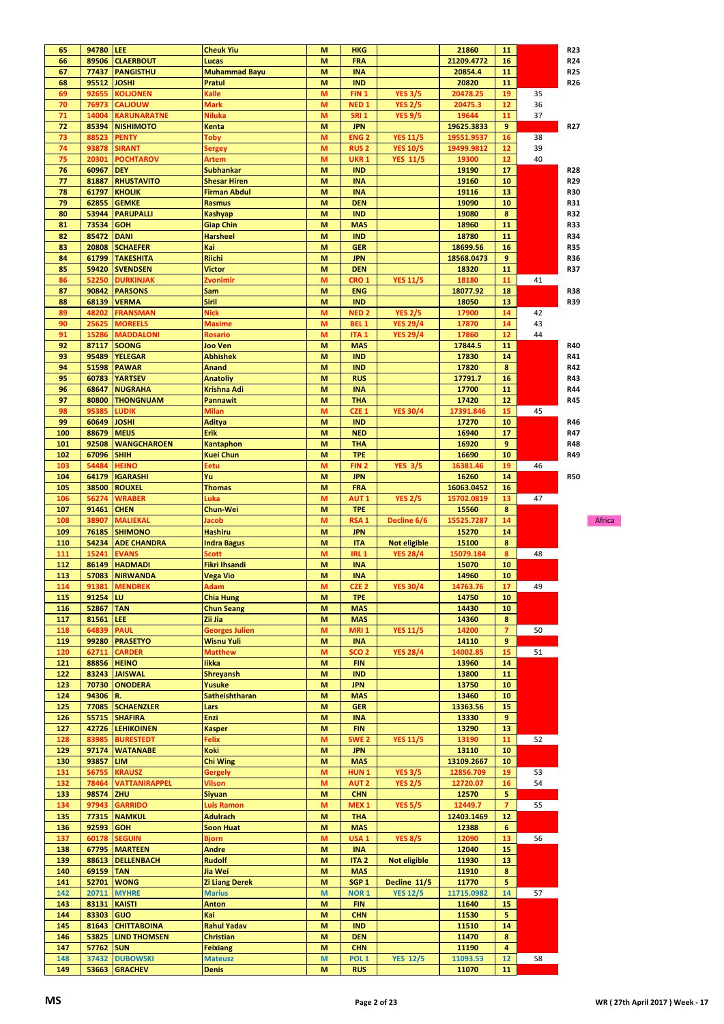| 65  | 94780 LEE |                      | <b>Cheuk Yiu</b>      | M | <b>HKG</b>       |                     | 21860      | 11              |    | <b>R23</b>      |
|-----|-----------|----------------------|-----------------------|---|------------------|---------------------|------------|-----------------|----|-----------------|
| 66  | 89506     | <b>CLAERBOUT</b>     | Lucas                 | M | <b>FRA</b>       |                     | 21209.4772 | 16              |    | R <sub>24</sub> |
| 67  | 77437     | <b>PANGISTHU</b>     | Muhammad Bayu         | M | <b>INA</b>       |                     | 20854.4    | 11              |    | <b>R25</b>      |
|     |           |                      |                       |   |                  |                     |            |                 |    |                 |
| 68  | 95512     | JOSHI                | Pratul                | M | <b>IND</b>       |                     | 20820      | 11              |    | R26             |
| 69  | 92655     | KOLJONEN             | Kalle                 | м | FIN <sub>1</sub> | <b>YES 3/5</b>      | 20478.25   | 19              | 35 |                 |
| 70  | 76973     | <b>CALIOUW</b>       | Mark                  | M | NED <sub>1</sub> | <b>YES 2/5</b>      | 20475.3    | 12              | 36 |                 |
| 71  | 14004     | KARUNARATNE          | Niluka                | M | <b>SRI 1</b>     | <b>YES 9/5</b>      | 19644      | 11              | 37 |                 |
| 72  | 85394     | <b>NISHIMOTO</b>     | Kenta                 | M | <b>JPN</b>       |                     | 19625.3833 | 9               |    | <b>R27</b>      |
| 73  | 88523     | PENTY                | Toby                  | м | <b>ENG2</b>      | <b>YES 11/5</b>     | 19551.9537 | 16              | 38 |                 |
| 74  | 93878     | SIRANT               | Sergey                | M | <b>RUS2</b>      | <b>YES 10/5</b>     | 19499.9812 | 12              | 39 |                 |
| 75  | 20301     | <b>POCHTAROV</b>     | Artem                 | M | <b>UKR 1</b>     | <b>YES 11/5</b>     | 19300      | 12              | 40 |                 |
| 76  | 60967     | <b>DEY</b>           | Subhankar             | M | <b>IND</b>       |                     | 19190      | 17              |    | <b>R28</b>      |
| 77  | 81887     | <b>RHUSTAVITO</b>    | <b>Shesar Hiren</b>   | M | <b>INA</b>       |                     | 19160      | 10              |    | R29             |
|     |           |                      |                       |   |                  |                     |            |                 |    |                 |
| 78  | 61797     | <b>KHOLIK</b>        | Firman Abdul          | M | <b>INA</b>       |                     | 19116      | 13              |    | <b>R30</b>      |
| 79  | 62855     | <b>GEMKE</b>         | <b>Rasmus</b>         | M | <b>DEN</b>       |                     | 19090      | 10              |    | R31             |
| 80  | 53944     | <b>PARUPALLI</b>     | Kashyap               | M | <b>IND</b>       |                     | 19080      | 8               |    | <b>R32</b>      |
| 81  | 73534     | <b>GOH</b>           | <b>Giap Chin</b>      | M | <b>MAS</b>       |                     | 18960      | 11              |    | <b>R33</b>      |
| 82  | 85472     | <b>DANI</b>          | <b>Harsheel</b>       | M | <b>IND</b>       |                     | 18780      | 11              |    | <b>R34</b>      |
| 83  | 20808     | <b>SCHAEFER</b>      | Kai                   | M | <b>GER</b>       |                     | 18699.56   | 16              |    | <b>R35</b>      |
| 84  | 61799     | <b>TAKESHITA</b>     | Riichi                | M | <b>JPN</b>       |                     | 18568.0473 | 9               |    | <b>R36</b>      |
| 85  | 59420     | <b>SVENDSEN</b>      | Victor                | M | <b>DEN</b>       |                     | 18320      | 11              |    | <b>R37</b>      |
| 86  | 52250     | <b>DURKINJAK</b>     | Zvonimir              | M | CRO 1            | <b>YES 11/5</b>     | 18180      | 11              | 41 |                 |
| 87  | 90842     | <b>PARSONS</b>       | Sam                   | M | <b>ENG</b>       |                     | 18077.92   | 18              |    | <b>R38</b>      |
| 88  | 68139     | <b>VERMA</b>         | Siril                 | M | <b>IND</b>       |                     | 18050      | 13              |    | <b>R39</b>      |
|     |           |                      |                       |   |                  |                     |            |                 |    |                 |
| 89  | 48202     | FRANSMAN             | Nick                  | M | <b>NED 2</b>     | <b>YES 2/5</b>      | 17900      | 14              | 42 |                 |
| 90  | 25625     | <b>MOREELS</b>       | <b>Maxime</b>         | M | BEL <sub>1</sub> | <b>YES 29/4</b>     | 17870      | 14              | 43 |                 |
| 91  | 15286     | <b>MADDALONI</b>     | Rosario               | M | ITA <sub>1</sub> | <b>YES 29/4</b>     | 17860      | 12              | 44 |                 |
| 92  | 87117     | <b>SOONG</b>         | Joo Ven               | M | <b>MAS</b>       |                     | 17844.5    | 11              |    | <b>R40</b>      |
| 93  | 95489     | <b>YELEGAR</b>       | <b>Abhishek</b>       | M | <b>IND</b>       |                     | 17830      | 14              |    | R41             |
| 94  | 51598     | <b>PAWAR</b>         | Anand                 | M | <b>IND</b>       |                     | 17820      | 8               |    | R42             |
| 95  | 60783     | <b>YARTSEV</b>       | <b>Anatoliy</b>       | M | <b>RUS</b>       |                     | 17791.7    | 16              |    | R43             |
| 96  | 68647     | <b>NUGRAHA</b>       | Krishna Adi           | M | <b>INA</b>       |                     | 17700      | 11              |    | R44             |
| 97  | 80800     | <b>THONGNUAM</b>     | Pannawit              | M | <b>THA</b>       |                     | 17420      | 12              |    | <b>R45</b>      |
| 98  | 95385     | LUDIK                | Milan                 | M | CZE <sub>1</sub> | <b>YES 30/4</b>     | 17391.846  | 15              | 45 |                 |
| 99  | 60649     | JOSHI                | Aditya                | M | <b>IND</b>       |                     | 17270      | 10              |    | R46             |
|     |           |                      |                       |   |                  |                     |            |                 |    |                 |
| 100 | 88679     | <b>MEIJS</b>         | Erik                  | M | <b>NED</b>       |                     | 16940      | 17              |    | R47             |
| 101 | 92508     | <b>WANGCHAROEN</b>   | <b>Kantaphon</b>      | M | THA              |                     | 16920      | 9               |    | <b>R48</b>      |
| 102 | 67096     | <b>SHIH</b>          | <b>Kuei Chun</b>      | M | <b>TPE</b>       |                     | 16690      | 10              |    | R49             |
| 103 | 54484     | <b>HEINO</b>         | Eetu                  | M | FIN <sub>2</sub> | <b>YES 3/5</b>      | 16381.46   | 19              | 46 |                 |
| 104 | 64179     | <b>IGARASHI</b>      | Yu                    | M | <b>JPN</b>       |                     | 16260      | 14              |    | <b>R50</b>      |
| 105 | 38500     | <b>ROUXEL</b>        | Thomas                | M | <b>FRA</b>       |                     | 16063.0452 | 16              |    |                 |
| 106 | 56274     | WRABER               | Luka                  | M | AUT 1            | <b>YES 2/5</b>      | 15702.0819 | 13              | 47 |                 |
| 107 | 91461     | <b>CHEN</b>          | Chun-Wei              | M | <b>TPE</b>       |                     | 15560      | 8               |    |                 |
| 108 | 38907     | <b>MALIEKAL</b>      | Jacob                 | M | RSA <sub>1</sub> | Decline 6/6         | 15525.7287 | 14              |    | Africa          |
| 109 | 76185     | <b>SHIMONO</b>       | Hashiru               | M | <b>JPN</b>       |                     | 15270      | 14              |    |                 |
| 110 | 54234     | <b>ADE CHANDRA</b>   | Indra Bagus           | M | <b>ITA</b>       | <b>Not eligible</b> | 15100      | 8               |    |                 |
|     |           |                      |                       |   |                  |                     |            |                 |    |                 |
| 111 | 15241     | <b>EVANS</b>         | Scott                 | M | <b>IRL1</b>      | <b>YES 28/4</b>     | 15079.184  | 8               | 48 |                 |
| 112 | 86149     | <b>HADMADI</b>       | Fikri Ihsandi         | M | <b>INA</b>       |                     | 15070      | 10              |    |                 |
| 113 | 57083     | <b>NIRWANDA</b>      | Vega Vio              | М | <b>INA</b>       |                     | 14960      | 10              |    |                 |
| 114 |           | 91381 MENDREK        | Adam                  | M | CZF2             | <b>YES 30/4</b>     | 14763.76   | 17 <sup>2</sup> | 49 |                 |
| 115 | 91254     | <b>LU</b>            | <b>Chia Hung</b>      | M | <b>TPE</b>       |                     | 14750      | 10              |    |                 |
| 116 | 52867     | <b>TAN</b>           | <b>Chun Seang</b>     | M | <b>MAS</b>       |                     | 14430      | 10              |    |                 |
| 117 | 81561     | LEE                  | Zii Jia               | M | <b>MAS</b>       |                     | 14360      | 8               |    |                 |
| 118 | 64839     | <b>PAUL</b>          | <b>Georges Julien</b> | M | MRI <sub>1</sub> | <b>YES 11/5</b>     | 14200      | $\overline{7}$  | 50 |                 |
| 119 | 99280     | <b>PRASETYO</b>      | Wisnu Yuli            | M | <b>INA</b>       |                     | 14110      | 9               |    |                 |
| 120 | 62711     | <b>CARDER</b>        | <b>Matthew</b>        | M | SCO <sub>2</sub> | <b>YES 28/4</b>     | 14002.85   | 15              | 51 |                 |
|     | 88856     | <b>HEINO</b>         | likka                 |   | <b>FIN</b>       |                     |            | 14              |    |                 |
| 121 |           |                      |                       | M |                  |                     | 13960      |                 |    |                 |
| 122 | 83243     | <b>JAISWAL</b>       | <b>Shreyansh</b>      | M | <b>IND</b>       |                     | 13800      | 11              |    |                 |
| 123 | 70730     | <b>ONODERA</b>       | Yusuke                | M | <b>JPN</b>       |                     | 13750      | 10              |    |                 |
| 124 | 94306     | R.                   | Satheishtharan        | M | <b>MAS</b>       |                     | 13460      | 10              |    |                 |
| 125 | 77085     | <b>SCHAENZLER</b>    | Lars                  | M | <b>GER</b>       |                     | 13363.56   | 15              |    |                 |
| 126 | 55715     | <b>SHAFIRA</b>       | Enzi                  | M | <b>INA</b>       |                     | 13330      | 9               |    |                 |
| 127 | 42726     | <b>LEHIKOINEN</b>    | <b>Kasper</b>         | M | <b>FIN</b>       |                     | 13290      | 13              |    |                 |
| 128 | 83985     | <b>BURESTEDT</b>     | Felix                 | M | SWE <sub>2</sub> | <b>YES 11/5</b>     | 13190      | 11              | 52 |                 |
| 129 | 97174     | <b>WATANABE</b>      | Koki                  | M | <b>JPN</b>       |                     | 13110      | 10              |    |                 |
| 130 | 93857     | <b>LIM</b>           | Chi Wing              | M | <b>MAS</b>       |                     | 13109.2667 | 10              |    |                 |
| 131 | 56755     | <b>KRAUSZ</b>        | <b>Gergely</b>        | M | HUN <sub>1</sub> | <b>YES 3/5</b>      | 12856.709  | 19              | 53 |                 |
| 132 | 78464     | <b>VATTANIRAPPEL</b> | Vilson                | M | <b>AUT 2</b>     | <b>YES 2/5</b>      | 12720.07   | 16              | 54 |                 |
| 133 | 98574     | ZHU                  | <b>Siyuan</b>         | M | <b>CHN</b>       |                     | 12570      | 5               |    |                 |
|     |           |                      |                       |   |                  |                     |            | $\overline{7}$  |    |                 |
| 134 | 97943     | <b>GARRIDO</b>       | <b>Luis Ramon</b>     | M | MEX <sub>1</sub> | <b>YES 5/5</b>      | 12449.7    |                 | 55 |                 |
| 135 |           | 77315 NAMKUL         | <b>Adulrach</b>       | M | <b>THA</b>       |                     | 12403.1469 | 12              |    |                 |
| 136 | 92593     | <b>GOH</b>           | <b>Soon Huat</b>      | M | <b>MAS</b>       |                     | 12388      | 6               |    |                 |
| 137 | 60178     | <b>SEGUIN</b>        | Bjorn                 | M | USA <sub>1</sub> | <b>YES 8/5</b>      | 12090      | 13              | 56 |                 |
| 138 | 67795     | <b>MARTEEN</b>       | <b>Andre</b>          | M | <b>INA</b>       |                     | 12040      | 15              |    |                 |
| 139 | 88613     | <b>DELLENBACH</b>    | <b>Rudolf</b>         | M | ITA <sub>2</sub> | <b>Not eligible</b> | 11930      | 13              |    |                 |
| 140 | 69159     | <b>TAN</b>           | Jia Wei               | M | <b>MAS</b>       |                     | 11910      | 8               |    |                 |
| 141 | 52701     | <b>WONG</b>          | <b>Zi Liang Derek</b> | M | SGP <sub>1</sub> | Decline 11/5        | 11770      | 5               |    |                 |
| 142 | 20711     | <b>MYHRE</b>         | <b>Marius</b>         | M | <b>NOR1</b>      | <b>YES 12/5</b>     | 11715.0982 | 14              | 57 |                 |
| 143 | 83131     | <b>KAISTI</b>        | Anton                 | M | <b>FIN</b>       |                     | 11640      | 15              |    |                 |
| 144 | 83303     | <b>GUO</b>           | Kai                   | M | <b>CHN</b>       |                     | 11530      | 5               |    |                 |
|     |           |                      |                       |   |                  |                     |            |                 |    |                 |
| 145 | 81643     | <b>CHITTABOINA</b>   | <b>Rahul Yadav</b>    | M | <b>IND</b>       |                     | 11510      | 14              |    |                 |
| 146 | 53825     | <b>LIND THOMSEN</b>  | <b>Christian</b>      | M | <b>DEN</b>       |                     | 11470      | 8               |    |                 |
| 147 | 57762     | <b>SUN</b>           | <b>Feixiang</b>       | M | <b>CHN</b>       |                     | 11190      | 4               |    |                 |
| 148 | 37432     | <b>DUBOWSKI</b>      | <b>Mateusz</b>        | M | POL <sub>1</sub> | <b>YES 12/5</b>     | 11093.53   | 12              | 58 |                 |
| 149 | 53663     | <b>GRACHEV</b>       | <b>Denis</b>          | M | <b>RUS</b>       |                     | 11070      | 11              |    |                 |